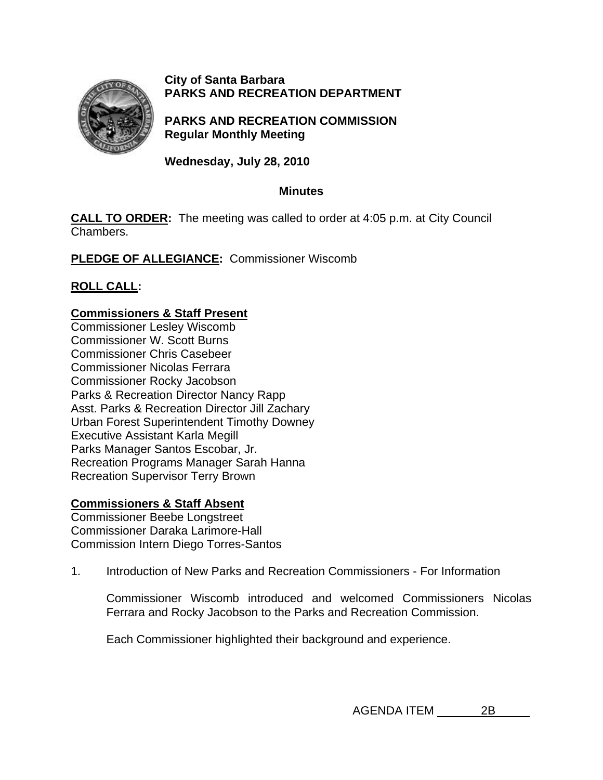

**City of Santa Barbara PARKS AND RECREATION DEPARTMENT**

**PARKS AND RECREATION COMMISSION Regular Monthly Meeting** 

**Wednesday, July 28, 2010** 

# **Minutes**

**CALL TO ORDER:** The meeting was called to order at 4:05 p.m. at City Council Chambers.

**PLEDGE OF ALLEGIANCE:** Commissioner Wiscomb

# **ROLL CALL:**

### **Commissioners & Staff Present**

Commissioner Lesley Wiscomb Commissioner W. Scott Burns Commissioner Chris Casebeer Commissioner Nicolas Ferrara Commissioner Rocky Jacobson Parks & Recreation Director Nancy Rapp Asst. Parks & Recreation Director Jill Zachary Urban Forest Superintendent Timothy Downey Executive Assistant Karla Megill Parks Manager Santos Escobar, Jr. Recreation Programs Manager Sarah Hanna Recreation Supervisor Terry Brown

### **Commissioners & Staff Absent**

Commissioner Beebe Longstreet Commissioner Daraka Larimore-Hall Commission Intern Diego Torres-Santos

1.Introduction of New Parks and Recreation Commissioners - For Information

Commissioner Wiscomb introduced and welcomed Commissioners Nicolas Ferrara and Rocky Jacobson to the Parks and Recreation Commission.

Each Commissioner highlighted their background and experience.

AGENDA ITEM 2B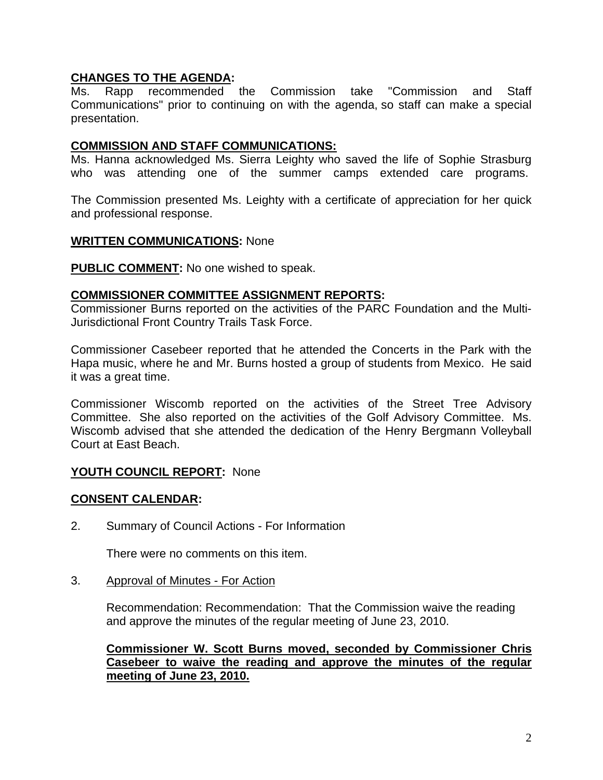### **CHANGES TO THE AGENDA:**

Ms. Rapp recommended the Commission take "Commission and Staff Communications" prior to continuing on with the agenda, so staff can make a special presentation.

#### **COMMISSION AND STAFF COMMUNICATIONS:**

Ms. Hanna acknowledged Ms. Sierra Leighty who saved the life of Sophie Strasburg who was attending one of the summer camps extended care programs.

The Commission presented Ms. Leighty with a certificate of appreciation for her quick and professional response.

#### **WRITTEN COMMUNICATIONS:** None

**PUBLIC COMMENT:** No one wished to speak.

#### **COMMISSIONER COMMITTEE ASSIGNMENT REPORTS:**

Commissioner Burns reported on the activities of the PARC Foundation and the Multi-Jurisdictional Front Country Trails Task Force.

Commissioner Casebeer reported that he attended the Concerts in the Park with the Hapa music, where he and Mr. Burns hosted a group of students from Mexico. He said it was a great time.

Commissioner Wiscomb reported on the activities of the Street Tree Advisory Committee. She also reported on the activities of the Golf Advisory Committee. Ms. Wiscomb advised that she attended the dedication of the Henry Bergmann Volleyball Court at East Beach.

### **YOUTH COUNCIL REPORT:** None

### **CONSENT CALENDAR:**

2. Summary of Council Actions - For Information

There were no comments on this item.

3. Approval of Minutes - For Action

Recommendation: Recommendation: That the Commission waive the reading and approve the minutes of the regular meeting of June 23, 2010.

**Commissioner W. Scott Burns moved, seconded by Commissioner Chris Casebeer to waive the reading and approve the minutes of the regular meeting of June 23, 2010.**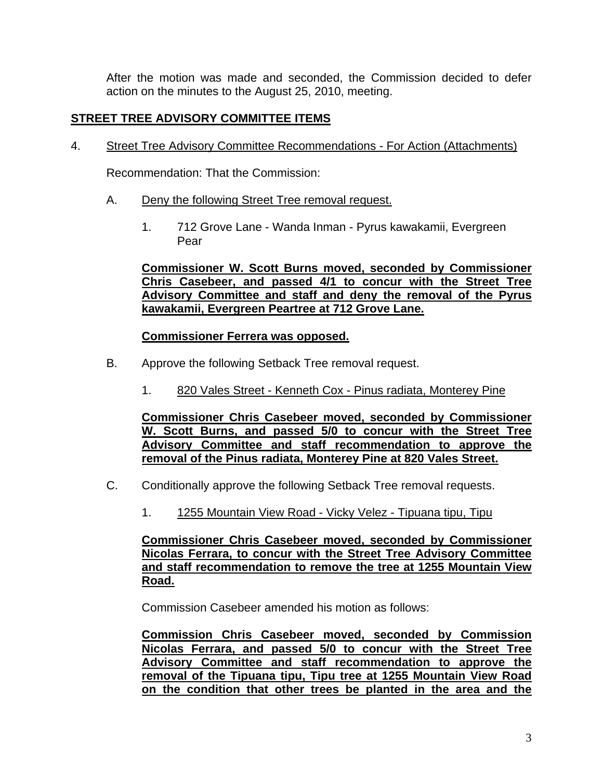After the motion was made and seconded, the Commission decided to defer action on the minutes to the August 25, 2010, meeting.

# **STREET TREE ADVISORY COMMITTEE ITEMS**

4. Street Tree Advisory Committee Recommendations - For Action (Attachments)

Recommendation: That the Commission:

- A. Deny the following Street Tree removal request.
	- 1. 712 Grove Lane Wanda Inman Pyrus kawakamii, Evergreen Pear

**Commissioner W. Scott Burns moved, seconded by Commissioner Chris Casebeer, and passed 4/1 to concur with the Street Tree Advisory Committee and staff and deny the removal of the Pyrus kawakamii, Evergreen Peartree at 712 Grove Lane.** 

# **Commissioner Ferrera was opposed.**

- B.Approve the following Setback Tree removal request.
	- 1. 820 Vales Street Kenneth Cox Pinus radiata, Monterey Pine

**Commissioner Chris Casebeer moved, seconded by Commissioner W. Scott Burns, and passed 5/0 to concur with the Street Tree Advisory Committee and staff recommendation to approve the removal of the Pinus radiata, Monterey Pine at 820 Vales Street.** 

- C.Conditionally approve the following Setback Tree removal requests.
	- 1.1255 Mountain View Road Vicky Velez Tipuana tipu, Tipu

**Commissioner Chris Casebeer moved, seconded by Commissioner Nicolas Ferrara, to concur with the Street Tree Advisory Committee and staff recommendation to remove the tree at 1255 Mountain View Road.**

Commission Casebeer amended his motion as follows:

**Commission Chris Casebeer moved, seconded by Commission Nicolas Ferrara, and passed 5/0 to concur with the Street Tree Advisory Committee and staff recommendation to approve the removal of the Tipuana tipu, Tipu tree at 1255 Mountain View Road on the condition that other trees be planted in the area and the**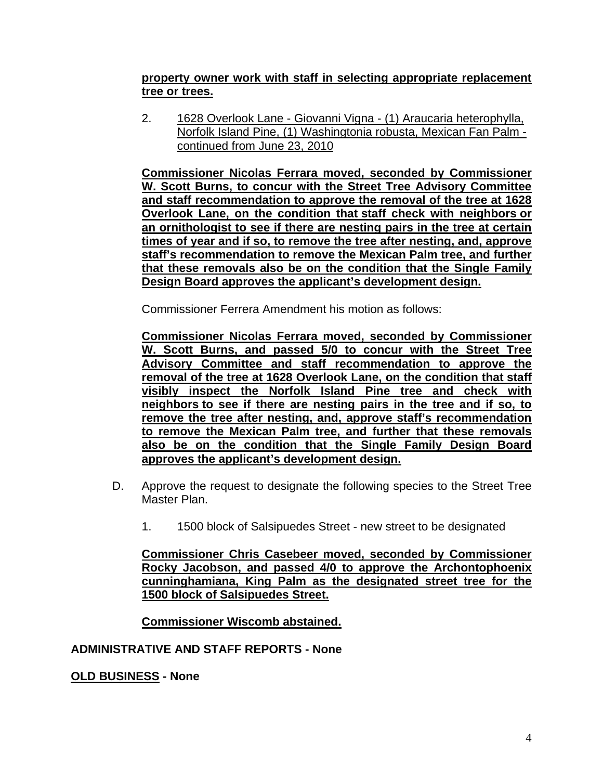### **property owner work with staff in selecting appropriate replacement tree or trees.**

2. 1628 Overlook Lane - Giovanni Vigna - (1) Araucaria heterophylla, Norfolk Island Pine, (1) Washingtonia robusta, Mexican Fan Palm continued from June 23, 2010

**Commissioner Nicolas Ferrara moved, seconded by Commissioner W. Scott Burns, to concur with the Street Tree Advisory Committee and staff recommendation to approve the removal of the tree at 1628 Overlook Lane, on the condition that staff check with neighbors or an ornithologist to see if there are nesting pairs in the tree at certain times of year and if so, to remove the tree after nesting, and, approve staff's recommendation to remove the Mexican Palm tree, and further that these removals also be on the condition that the Single Family Design Board approves the applicant's development design.**

Commissioner Ferrera Amendment his motion as follows:

**Commissioner Nicolas Ferrara moved, seconded by Commissioner W. Scott Burns, and passed 5/0 to concur with the Street Tree Advisory Committee and staff recommendation to approve the removal of the tree at 1628 Overlook Lane, on the condition that staff visibly inspect the Norfolk Island Pine tree and check with neighbors to see if there are nesting pairs in the tree and if so, to remove the tree after nesting, and, approve staff's recommendation to remove the Mexican Palm tree, and further that these removals also be on the condition that the Single Family Design Board approves the applicant's development design.** 

- D.Approve the request to designate the following species to the Street Tree Master Plan.
	- 1. 1500 block of Salsipuedes Street new street to be designated

**Commissioner Chris Casebeer moved, seconded by Commissioner Rocky Jacobson, and passed 4/0 to approve the Archontophoenix cunninghamiana, King Palm as the designated street tree for the 1500 block of Salsipuedes Street.** 

**Commissioner Wiscomb abstained.**

### **ADMINISTRATIVE AND STAFF REPORTS - None**

# **OLD BUSINESS - None**